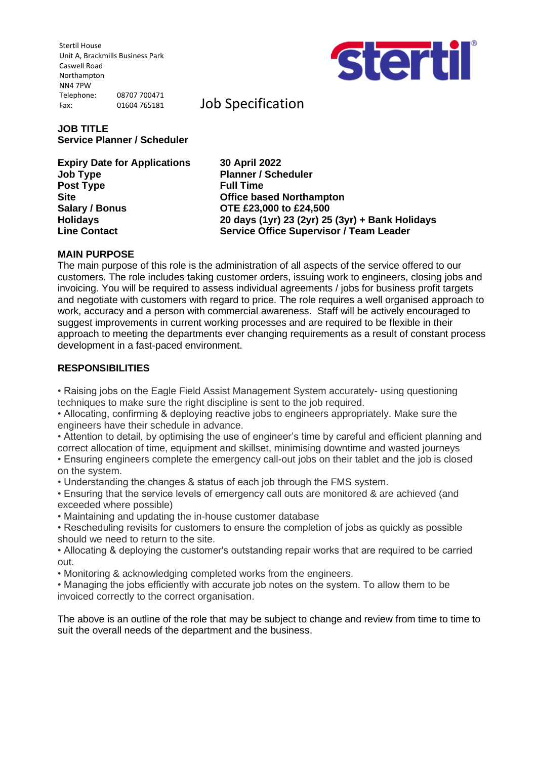Stertil House Unit A, Brackmills Business Park Caswell Road Northampton NN4 7PW Telephone: 08707 700471 Fax: 01604 765181



Job Specification

# **JOB TITLE Service Planner / Scheduler**

**Expiry Date for Applications 30 April 2022 Job Type Planner / Scheduler Post Type Full Time Site Office based Northampton Salary / Bonus OTE £23,000 to £24,500**

**Holidays 20 days (1yr) 23 (2yr) 25 (3yr) + Bank Holidays Line Contact Service Office Supervisor / Team Leader**

## **MAIN PURPOSE**

The main purpose of this role is the administration of all aspects of the service offered to our customers. The role includes taking customer orders, issuing work to engineers, closing jobs and invoicing. You will be required to assess individual agreements / jobs for business profit targets and negotiate with customers with regard to price. The role requires a well organised approach to work, accuracy and a person with commercial awareness. Staff will be actively encouraged to suggest improvements in current working processes and are required to be flexible in their approach to meeting the departments ever changing requirements as a result of constant process development in a fast-paced environment.

## **RESPONSIBILITIES**

• Raising jobs on the Eagle Field Assist Management System accurately- using questioning techniques to make sure the right discipline is sent to the job required.

• Allocating, confirming & deploying reactive jobs to engineers appropriately. Make sure the engineers have their schedule in advance.

• Attention to detail, by optimising the use of engineer's time by careful and efficient planning and correct allocation of time, equipment and skillset, minimising downtime and wasted journeys

• Ensuring engineers complete the emergency call-out jobs on their tablet and the job is closed on the system.

• Understanding the changes & status of each job through the FMS system.

• Ensuring that the service levels of emergency call outs are monitored & are achieved (and exceeded where possible)

• Maintaining and updating the in-house customer database

• Rescheduling revisits for customers to ensure the completion of jobs as quickly as possible should we need to return to the site.

• Allocating & deploying the customer's outstanding repair works that are required to be carried out.

• Monitoring & acknowledging completed works from the engineers.

• Managing the jobs efficiently with accurate job notes on the system. To allow them to be invoiced correctly to the correct organisation.

The above is an outline of the role that may be subject to change and review from time to time to suit the overall needs of the department and the business.